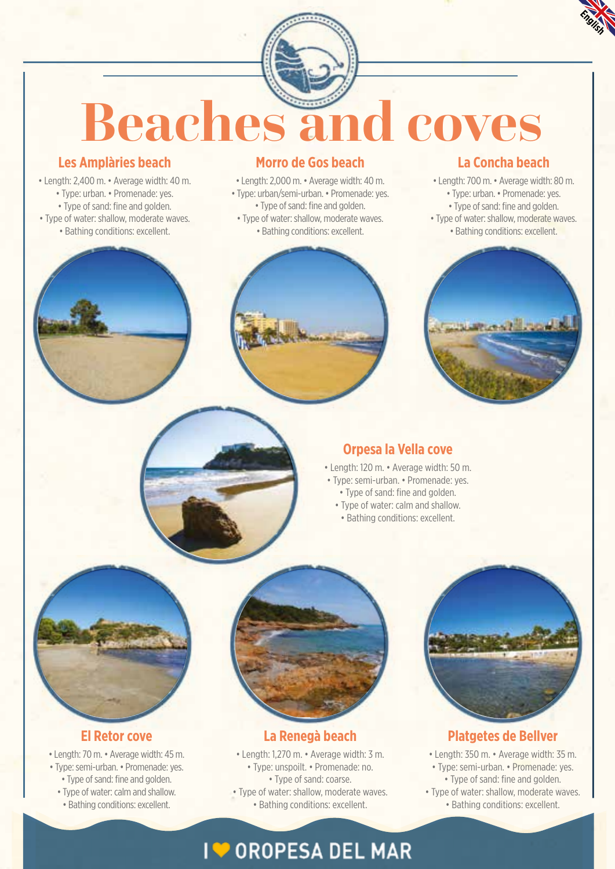

# **Beaches and coves**

#### **Les Amplàries beach**

- Length: 2,400 m. Average width: 40 m. • Type: urban. • Promenade: yes.
	- Type of sand: fine and golden.
- Type of water: shallow, moderate waves.
- Bathing conditions: excellent.

#### **Morro de Gos beach**

- Length: 2,000 m. Average width: 40 m.
- Type: urban/semi-urban. Promenade: yes. • Type of sand: fine and golden.
- Type of water: shallow, moderate waves.
- Bathing conditions: excellent.

### **La Concha beach**

• Length: 700 m. • Average width: 80 m. • Type: urban. • Promenade: yes.

- Type of sand: fine and golden.
- Type of water: shallow, moderate waves. • Bathing conditions: excellent.





#### **Orpesa la Vella cove**

- Length: 120 m. Average width: 50 m.
	- -
		-



- Type: semi-urban. Promenade: yes.
	- Type of sand: fine and golden.
	- Type of water: calm and shallow.
	- Bathing conditions: excellent.



#### **El Retor cove**

• Length: 70 m. • Average width: 45 m. • Type: semi-urban. • Promenade: yes. • Type of sand: fine and golden.

- Type of water: calm and shallow.
- Bathing conditions: excellent.



#### **La Renegà beach**

• Length: 1,270 m. • Average width: 3 m. • Type: unspoilt. • Promenade: no. • Type of sand: coarse.

• Type of water: shallow, moderate waves. • Bathing conditions: excellent.



#### **Platgetes de Bellver**

• Length: 350 m. • Average width: 35 m.

- Type: semi-urban. Promenade: yes. • Type of sand: fine and golden.
- Type of water: shallow, moderate waves. • Bathing conditions: excellent.

# **1 OROPESA DEL MAR**